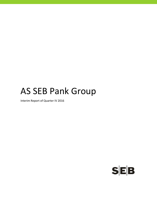# AS SEB Pank Group

Interim Report of Quarter IV 2016

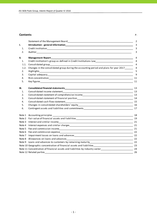## **Contents** P.

|    | I<br>۱ |
|----|--------|
| ۰. |        |

|      |                                                                                                                                                                                                                                | $\overline{2}$ |
|------|--------------------------------------------------------------------------------------------------------------------------------------------------------------------------------------------------------------------------------|----------------|
| ı.   | Introduction - general information expansion and a series of the contract of the contract of the contract of the contract of the contract of the contract of the contract of the contract of the contract of the contract of t | 3              |
| 1.   |                                                                                                                                                                                                                                | 3              |
| 2.   |                                                                                                                                                                                                                                | 3              |
| II.  | <b>Management Report</b>                                                                                                                                                                                                       | 4              |
| 1.   | Credit institution's group as defined in Credit Institutions Law<br>4                                                                                                                                                          |                |
| 1.1. |                                                                                                                                                                                                                                | $\overline{4}$ |
| 1.2. | Changes in the consolidated group during the accounting period and plans for year 2017______                                                                                                                                   | $\overline{4}$ |
| 2.   |                                                                                                                                                                                                                                |                |
| 3.   |                                                                                                                                                                                                                                |                |
| 4.   |                                                                                                                                                                                                                                |                |
| 5.   |                                                                                                                                                                                                                                | 11             |
| III. |                                                                                                                                                                                                                                |                |
| 1.   |                                                                                                                                                                                                                                |                |
| 2.   | Consolidated statement of comprehensive income entrance and consolidated statement of comprehensive income                                                                                                                     |                |
| 3.   |                                                                                                                                                                                                                                |                |
| 4.   |                                                                                                                                                                                                                                |                |
| 5.   |                                                                                                                                                                                                                                |                |
| 6.   |                                                                                                                                                                                                                                |                |
|      |                                                                                                                                                                                                                                | 18             |
|      |                                                                                                                                                                                                                                |                |
|      | Note 3 Interest and similar income                                                                                                                                                                                             | 21             |
|      |                                                                                                                                                                                                                                |                |
|      |                                                                                                                                                                                                                                |                |
|      |                                                                                                                                                                                                                                |                |
|      |                                                                                                                                                                                                                                | 22             |
|      |                                                                                                                                                                                                                                | 22             |
|      |                                                                                                                                                                                                                                |                |
|      |                                                                                                                                                                                                                                |                |
|      | Note 11 Concentration of financial assets and liabilities by industry sector________________________________24                                                                                                                 |                |
|      | Note 12 Related parties                                                                                                                                                                                                        | 26             |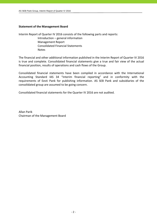## **Statement of the Management Board**

Interim Report of Quarter IV 2016 consists of the following parts and reports:

 Introduction – general information Management Report Consolidated Financial Statements Notes

The financial and other additional information published in the Interim Report of Quarter IV 2016 is true and complete. Consolidated financial statements give a true and fair view of the actual financial position, results of operations and cash flows of the Group.

Consolidated financial statements have been compiled in accordance with the International Accounting Standard IAS 34 "Interim financial reporting" and in conformity with the requirements of Eesti Pank for publishing information. AS SEB Pank and subsidiaries of the consolidated group are assumed to be going concern.

Consolidated financial statements for the Quarter IV 2016 are not audited.

Allan Parik Chairman of the Management Board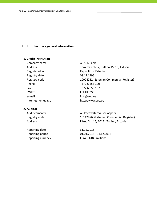## **I. Introduction ‐ general information**

#### **1. Credit institution**

Company name AS SEB Pank Registry date 08.12.1995 Phone  $+3726655100$ Fax +372 6 655 102 SWIFT FEUHFF2X e-mail info@seb.ee

## **2. Auditor**

Reporting date 31.12.2016

Address Tornimäe Str. 2, Tallinn 15010, Estonia Registered in Republic of Estonia Registry code 10004252 (Estonian Commercial Register) Internet homepage http://www.seb.ee

Audit company and all the AS PricewaterhouseCoopers Registry code 10142876 (Estonian Commercial Register) Address **Pärnu Str. 15, 10141 Tallinn, Estonia** 

Reporting period 01.01.2016 ‐ 31.12.2016 Reporting currency Euro (EUR), millions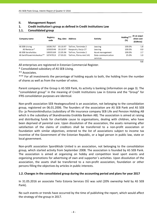## **II. Management Report**

# **1. Credit institution's group as defined in Credit Institutions Law**

## **1.1. Consolidated group**

| Company name                 | Registry<br>code | Reg. date Address |                        | Activity           | Holding***<br>(%) | At an acqui-<br>sition cost<br>(EURmio) |
|------------------------------|------------------|-------------------|------------------------|--------------------|-------------------|-----------------------------------------|
| AS SEB Liising               | 10281767         | 03.10.97          | Tallinn, Tornimäe 2    | Leasing            | 100.0%            | 1.8                                     |
| AS Rentacar*                 | 10303546         | 20.10.97          | Haapsalu, Karja 27     | Leasing            | 100.0%            | 0.0                                     |
| AS SEB Varahaldus            | 10035169         | 22.05.96          | Tallinn, Tornimäe 2    | Asset management   | 100.0%            | 2.7                                     |
| AS Sertifits eerimiskeskus** | 10747013         | 27.03.01          | Tallinn, Pärnu mnt 141 | Data communication | 25.0%             | 1.0                                     |
|                              |                  |                   |                        | services           |                   |                                         |
|                              |                  |                   |                        |                    |                   | 5.5                                     |

All enterprises are registered in Estonian Commercial Register.

\* Consolidated subsidiary of AS SEB Liising.

\*\* Associates.

\*\*\* For all investments the percentage of holding equals to both, the holding from the number of shares as well as from the number of votes.

Parent company of the Group is AS SEB Pank, its activity is banking (information on page 3). The "consolidated group" in the meaning of Credit Institutions Law in Estonia and the "Group" for IFRS consolidation purposes are identical.

Non‐profit association SEB Heategevusfond is an association, not belonging to the consolidation group, registered on 06.01.2006. The founders of the association are AS SEB Pank and AS SEB Elu‐ ja Pensionikindlustus (subsidiary of life insurance company SEB Life and Pension Holding AB which is the subsidiary of Skandinaviska Enskilda Banken AB). The association is aimed at raising and distributing funds for charitable cause to organisations, dealing with children, who have been deprived of parental care. Upon dissolution of the association, the assets remaining after satisfaction of the claims of creditors shall be transferred to a non‐profit association or foundation with similar objectives, entered to the list of associations subject to income tax incentive of the Government of the Estonian Republic, or a legal person in public law, state or local government.

Non‐profit association Spordiklubi United is an association, not belonging to the consolidation group, which started activity from September 2008. The association is founded by AS SEB Pank. The association is aimed at organizing on hobby and competition level sport events and organizing promotions for advertising of own and supporter´s activities. Upon dissolution of the association, the assets shall be transferred to a non‐profit association, foundation or other persons filling the objectives by articles in public interests.

## **1.2. Changes in the consolidated group during the accounting period and plans for year 2017**

In 31.05.2016 an associate Tieto Estonia Services OÜ was sold (20% owneship held by AS SEB Pank).

No such events or trends have occurred by the time of publishing the report, which would affect the strategy of the group in 2017.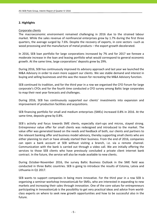## **2. Highlights**

## Corporate clients

The macroeconomic environment remained challenging in 2016 due to the strained labour market. While the sales revenue of nonfinancial enterprises grew by 1.7% during the first three quarters, the average surged by 7.6%. Despite the recovery of exports, in core sectors –such as wood processing and the manufacture of metal products – the export growth decelerated.

In 2016, SEB loan portfolio for large corporations increased by 7% and for 2017 we foresee a moderate increase in the loan and leasing portfolio what would correspond to general economic growth. At the same time, large corporations' deposits grew by 29%.

During 2016, SEB has continuously improved its advisory approach and last year we launched the M&A Advisory in order to even more support our clients. We see stable demand and interest in buying and selling businesses and this was the reason for recreating the M&A Advisory function.

SEB continued its tradition, and for the third year in a row we organised the CFO Forum for large corporate's CFOs and for the fourth time conducted a CFO survey among Baltic large corporates to map their next year forecasts and challenges.

During 2016, SEB has continuously supported our clients' investments into expansion and improvement of production facilities and acquisitions.

SEB financing portfolio for small and medium enterprises (SMEs) increased 0.8% in 2016. At the same time, deposits grew by 0.8%.

SEB's activity and focus towards SME clients, especially start-ups and micros, stayed strong. Entrepreneur value offer for small clients was redesigned and introduced to the market. The value offer was generated based on the needs and feedback of both, our clients and partners to the relevant banking offer and business model advisory, thereby supporting small clients who are either planning to start or have already started their business. From the end of 2016, companies can open a bank account at SEB without visiting a branch, i.e. via a remote channel. Communication with the bank is carried out through a video call. We are initially offering the services to those SEB clients who have previously concluded a private client internet bank contract. In the future, the service will also be made available to new clients.

During October‐November 2016, the survey Baltic Business Outlook in the SME field was conducted in three Baltic countries. SEB is going to introduce the results of Estonia, Latvia and Lithuania in Q1 2017.

SEB wants to support companies in being more innovative. For the third year in a row SEB is organising a seminar‐workshop InnovationLab for SMEs, who are interested in expanding to new markets and increasing their sales through innovation. One of the core values for entrepreneurs participating in InnovationLab is the possibility to get very practical ideas and advice from world‐ class experts on where to seek new growth opportunities and how to be successful also in the future.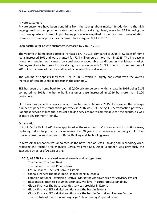## Private customers

Private customers have been benefiting from the strong labour market. In addition to the high wage growth, also employment rate stood at a historically high level, averaging 65.8% during the first three quarters. Household purchasing power was amplified further by close to zero inflation. Domestic consumer price index increased by a marginal 0.1% in 2016.

Loan portfolio for private customers increased by 7.0% in 2016.

The volume of home loan portfolio increased 8% in 2016, compared to 2015. New sales of home loans increased 30% and were granted for 72.9 million euros more than in 2015. The increase in household lending was caused by continuously favourable conditions in the labour market. Employment rate has been historically high and wage growth 7.1% in the first three quarters of 2016. Also increase of many social benefits boosted the real income.

The volume of deposits increased 10% in 2016, which is largely consistent with the overall increase of total household deposits in the economy.

SEB has been the home bank for over 250,000 private persons, with increase in 2016 being 2.1% compared to 2015; the home bank customer base increased in 2016 by more than 5,200 customers.

SEB Pank has paperless service in all branches since January 2015. Increase in the average number of paperless transactions per week in 2016 was 67%, being 1,335 transaction per week. Paperless service makes the classical banking services more comfortable for the clients, as well as more environment‐friendly.

## Organisation

In April, Eerika Vaikmäe‐Koit was appointed as the new Head of Corporates and Institutions Area, replacing Indrek Julge. Eerika Vaikmäe‐Koit has 20 years of experience in working in SEB. Her previous position was the Head of Retail Banking and Technology Area.

In May, Ainar Leppänen was appointed as the new Head of Retail Banking and Technology Area, replacing the former area manager Eerika Vaikmäe‐Koit. Ainar Leppänen was previously the Executive Director of AS SEB Liising.

## **In 2016, AS SEB Pank received several awards and recognitions:**

- The Banker: The Best Bank
- The Banker: The Best Private Bank
- EMEA Finance: The Best Bank in Estonia
- Global Finance: The Best Trade Finance Bank in Estonia
- Estonian National Advertising Festival: Marketing Act silver price for Advisory Project
- Responsible Business Forum in Estonia: Silver level in corporate sustainability
- Global Finance: The Best securities services provider in Estonia
- Global Finance: SEB's digital solutions are the best in Estonia
- Global Finance: SEB's digital solutions are the best in Central and Eastern Europe
- The Institute of the Estonian Language: "Clear message" special prize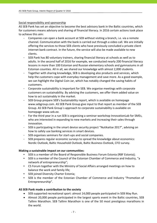## Social responsibility and sponsorship

AS SEB Pank has set an objective to become the best advisory bank in the Baltic countries, which for customers means advisory and sharing of financial literacy. In 2016 certain actions took place to achieve this aim:

- Companies can open a bank account at SEB without visiting a branch, i.e. via a remote channel. Communication with the bank is carried out through a video call. We are initially offering the services to those SEB clients who have previously concluded a private client internet bank contract. In the future, the service will also be made available to new clients.
- SEB Pank has 80 voluntary trainers, sharing financial literacy at schools as well as to adults. In the second half of 2016 for example, we conducted nearly 200 financial literacy lessons in more than 100 Estonian and Russian elementary schools and gymnasiums in all Estonian counties. All in all, we shared our knowledge with almost 2,000 students.
- Together with sharing knowledge, SEB is developing also products and services, which help the customers cope with everyday management and save more. As a good example, we can highlight the Digital Coin Jar, which has notably changed the saving habits of customers.
- Corporate sustainability is important for SEB. We organise meetings with corporate customers on sustainability. By advising the customers, we offer them added value on how to act sustainably in the market.
- SEB Group prepare SEB's Sustainability report, which is available on homepage www.sebgroup.com. AS SEB Pank Group give input to that report as member of the SEB Group. AS SEB Pank Group`s approach to corporate sustainability is available on homepage www.seb.ee.
- For the third year in a run SEB is organising a seminar-workshop InnovationLab for SMEs, who are interested in expanding to new markets and increasing their sales through innovation.
- SEB is participating in the smart device security project "Nutikaitse 2017", advising on how to safely use banking services in smart devices.
- SEB organises seminars for start-ups and social companies.
- SEB prepares regular economic surveys to spread the knowledge about economics: Nordic Outlook, Baltic Household Outlook, Baltic Business Outlook, CFO survey.

## **Making a sustainable impact on our communities:**

- SEB is a member of the Board of Responsible Business Forum Estonia (RBF Estonia);
- SEB is a member of the Council of the Estonian Chamber of Commerce and Industry, "a network of entrepreneurship";
- CS Forum together with the Ministry of Social Affairs arranged meetings on how to balance the work and family life;
- SEB joined Diversity Charter Estonia;
- SEB is the member of the Estonian Chamber of Commerce and Industry "Promotion of Entrepreneurship".

# **AS SEB Pank made a contribution to the society**

- SEB supported recreational sport: almost 14,000 people participated in SEB May Run.
- Almost 20,000 people participated in the largest sports event in the Baltic countries, SEB Tallinn Marathon. SEB Tallinn Marathon is one of the 50 most prestigious marathons in the world.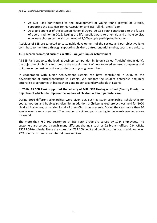- AS SEB Pank contributed to the development of young tennis players of Estonia, supporting the Estonian Tennis Association and SEB Tallink Tennis Team.
- As a gold sponsor of the Estonian National Opera, AS SEB Pank contributed to the future of opera tradition in 2016, issuing the fifth public award to a female and a male soloist, who were chosen by the visitors. Around 3,000 people participated in voting.

Activities of SEB are targeted to sustainable development of the society and our objective is to contribute to the future through supporting children, entrepreneurial‐studies, sports and culture.

## **AS SEB Pank promoted business in 2016 – Ajujaht, Junior Achievement**

AS SEB Pank supports the leading business competition in Estonia called "Ajujaht" (Brain Hunt), the objective of which is to promote the establishment of new knowledge‐based companies and to improve the business skills of students and young researchers.

In cooperation with Junior Achievement Estonia, we have contributed in 2016 to the development of entrepreneurship in Estonia. We support the student enterprise and mini enterprise programmes at basic schools and upper secondary schools of Estonia.

## **In 2016, AS SEB Pank supported the activity of MTÜ SEB Heategevusfond (Charity Fund), the objective of which is to improve the welfare of children without parental care.**

During 2016 different scholarships were given out, such as study scholarship, scholarship for young mothers and hobbies scholarship. In addition, a Christmas tree project was held for 1000 children in shelters, organising for all of them Christmas presents. During the year, more than 30 special events were organised. The number of children participating in the events reached above thousand.

The more than 752 500 customers of SEB Pank Group are served by 1044 employees. The customers are served through many different channels such as 22 branch offices, 234 ATMs, 9507 POS‐terminals. There are more than 767 100 debit and credit cards in use. In addition, over 77% of our customers use internet bank services.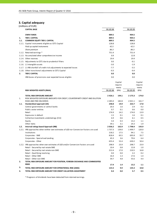# **3. Capital adequacy**

|        | (millions of EUR)                                                      |          |          |
|--------|------------------------------------------------------------------------|----------|----------|
|        | <b>CAPITAL BASE</b>                                                    | 31.12.16 | 31.12.15 |
|        | <b>OWN FUNDS</b>                                                       | 889.5    | 904.5    |
| 1.     | <b>TIER 1 CAPITAL</b>                                                  | 889.5    | 904.5    |
| 1.1.   | <b>COMMON EQUITY TIER 1 CAPITAL</b>                                    | 889.5    | 904.5    |
| 1.1.1. | Capital instruments eligible as CET1 Capital                           | 128.8    | 128.8    |
|        | Paid up capital instruments                                            | 42.5     | 42.5     |
|        | Share premium                                                          | 86.3     | 86.3     |
| 1.1.2. | Retained earnings *                                                    | 751.4    | 751.4    |
|        | 1.1.3. Accumulated other comprehensive income                          | 0.9      | 12.8     |
|        | 1.1.4. Other reserves                                                  | 19.4     | 19.4     |
|        | 1.1.5. Adjustments to CET1 due to prudential filters                   | 0.0      | $-0.1$   |
|        | 1.1.6. (-) Intangible assets                                           | $-3.0$   | $-1.9$   |
|        | 1.1.7. (-) IRB shortfall of credit risk adjustments to expected losses | $-7.7$   | $-5.5$   |
|        | 1.1.8. Other transitional adjustments to CET1 Capital                  | $-0.3$   | $-0.4$   |
| 2.     | <b>TIER 2 CAPITAL</b>                                                  | 0.0      | 0.0      |
|        | IRB Excess of provisions over expected losses eligible                 | 0.0      | 0.0      |

|      |                                                                                         |             | Capital  |             | Capital  |
|------|-----------------------------------------------------------------------------------------|-------------|----------|-------------|----------|
|      |                                                                                         |             | require- |             | require- |
|      |                                                                                         |             | ments    |             | ments    |
|      | <b>RISK WEIGHTED ASSETS (RWA)</b>                                                       | 31.12.16    | (8%)     | 31.12.15    | (8%)     |
|      | <b>TOTAL RISK EXPOSURE AMOUNT</b>                                                       | 2 4 2 6 .1  | 194.1    | 2 175.3     | 174.0    |
| 1.   | RISK WEIGHTED EXPOSURE AMOUNTS FOR CREDIT, COUNTERPARTY CREDIT AND DILUTION             |             |          |             |          |
|      | RISKS AND FREE DELIVERIES                                                               | 2 2 8 5 .0  | 182.8    | 2 0 2 1 . 1 | 161.7    |
| 1.1. | Standardised approach (SA)                                                              | 248.8       | 19.9     | 222.7       | 17.8     |
|      | Central governments or central banks                                                    | 20.3        | 1.6      | 2.9         | 0.2      |
|      | Public sector entities                                                                  | 0.7         | 0.1      | 0.6         | 0.0      |
|      | Retail                                                                                  | 176.9       | 14.2     | 174.0       | 13.9     |
|      | Exposures in default                                                                    | 1.5         | 0.1      | 1.6         | 0.1      |
|      | Collective investments undertakings (CIU)                                               | 6.9         | 0.6      | 6.1         | 0.5      |
|      | Equity                                                                                  | 3.4         | 0.3      | 13.2        | 1.1      |
|      | Other items                                                                             | 39.1        | 3.1      | 24.3        | 1.9      |
| 1.2. | Internal ratings based Approach (IRB)                                                   | 2036.2      | 162.9    | 1 7 9 8.4   | 143.9    |
|      | 1.2.1. IRB approaches when neither own estimates of LGD nor Conversion Factors are used | 1 7 3 7 . 3 | 139.0    | 1499.7      | 120.0    |
|      | Institutions                                                                            | 218.2       | 17.5     | 94.1        | 7.5      |
|      | Corporates - SME                                                                        | 818.4       | 65.5     | 695.8       | 55.7     |
|      | Corporates - Specialised Lending                                                        | 45.3        | 3.6      | 79.6        | 6.4      |
|      | Corporates - Other                                                                      | 655.4       | 52.4     | 630.2       | 50.4     |
|      | 1.2.2. IRB approaches when own estimates of LGD and/or Conversion Factors are used      | 298.9       | 23.9     | 298.7       | 23.9     |
|      | Retail - Secured by real estate SME                                                     | 10.4        | 0.8      | 12.8        | 1.0      |
|      | Retail - Secured by real estate non-SME                                                 | 212.4       | 17.0     | 210.5       | 16.8     |
|      | Retail - Qualifying revolving                                                           | 0.0         | 0.0      | 2.2         | 0.2      |
|      | Retail - Other SME                                                                      | 16.4        | 1.3      | 17.6        | 1.4      |
|      | Retail - Other non-SME                                                                  | 59.7        | 4.8      | 55.6        | 4.4      |
| 2.   | TOTAL RISK EXPOSURE AMOUNT FOR POSITION, FOREIGN EXCHANGE AND COMMODITIES               |             |          |             |          |
|      | <b>RISKS</b>                                                                            | 17.4        | 1.4      | 13.2        | 1.1      |
| 3.   | TOTAL RISK EXPOSURE AMOUNT FOR OPERATIONAL RISK (AMA)                                   | 123.3       | 9.9      | 135.3       | 10.8     |
| 4.   | TOTAL RISK EXPOSURE AMOUNT FOR CREDIT VALUATION ADJUSTMENT                              | 0.4         | 0.0      | 5.7         | 0.5      |

\* Prognosis of dividends have been deducted from retained earnings.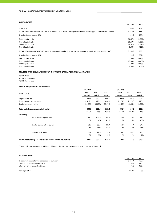#### **CAPITAL RATIOS**

|                                                                                                                    | 31.12.16    | 31.12.15    |
|--------------------------------------------------------------------------------------------------------------------|-------------|-------------|
| <b>OWN FUNDS</b>                                                                                                   | 889.5       | 904.5       |
| TOTAL RISK EXPOSURE AMOUNT Basel III (without additional risk exposure amount due to application of Basel I floor) | 2 4 2 6 . 1 | 2 1 7 5 . 3 |
| Own fund requirement (8%)                                                                                          | 194.1       | 174.0       |
| Total capital ratio                                                                                                | 36.67%      | 41.58%      |
| Tier 1 Capital ratio                                                                                               | 36.67%      | 41.58%      |
| CET1 Capital ratio                                                                                                 | 36.67%      | 41.58%      |
| Tier 2 Capital ratio                                                                                               | 0.00%       | 0.00%       |
| TOTAL RISK EXPOSURE AMOUNT Basel III (with additional risk exposure amount due to application of Basel I floor)    | 3 189.8     | 2966.7      |
| Own fund requirement (8%)                                                                                          | 255.2       | 237.3       |
| Total capital ratio                                                                                                | 27.89%      | 30.49%      |
| Tier 1 Capital ratio                                                                                               | 27.89%      | 30.49%      |
| CET1 Capital ratio                                                                                                 | 27.89%      | 30.49%      |
| Tier 2 Capital ratio                                                                                               | 0.00%       | 0.00%       |
|                                                                                                                    |             |             |

#### **MEMBERS OF CONSOLIDATION GROUP, INCLUDED TO CAPITAL ADEQUACY CALCULATION**

AS SEB Pank AS SEB Liising Group AS SEB Varahaldus

#### **CAPITAL REQUIREMENTS AND BUFFERS**

|                                                                   | 31.12.16         |                   |                 | 31.12.15         |                   |                 |
|-------------------------------------------------------------------|------------------|-------------------|-----------------|------------------|-------------------|-----------------|
| <b>OWN FUNDS</b>                                                  | Total<br>capital | Tier 1<br>capital | CET1<br>capital | Total<br>capital | Tier 1<br>capital | CET1<br>capital |
| Capital amount                                                    | 889.5            | 889.5             | 889.5           | 904.5            | 904.5             | 904.5           |
| Total risk exposure amount *                                      | 2 4 2 6 . 1      | 2 4 2 6 .1        | 2 4 2 6 .1      | 2 175.3          | 2 175.3           | 2 175.3         |
| Capital adequacy ratio                                            | 36.67%           | 36.67%            | 36.67%          | 41.58%           | 41.58%            | 41.58%          |
| Total capital requirements, incl. buffers                         | 400.3            | 351.8             | 315.4           | 302.4            | 258.9             | 226.2           |
|                                                                   | 16.5%            | 14.5%             | 13.0%           | 13.9%            | 11.9%             | 10.4%           |
| including:                                                        |                  |                   |                 |                  |                   |                 |
| Base capital requirement                                          | 194.1            | 145.6             | 109.2           | 174.0            | 130.5             | 97.9            |
|                                                                   | 8%               | 6%                | 4.5%            | 8%               | 6%                | 4.5%            |
| Capital conservation buffer                                       | 60.7             | 60.7              | 60.7            | 54.4             | 54.4              | 54.4            |
|                                                                   | 2.5%             | 2.5%              | 2.5%            | 2.5%             | 2.5%              | 2.5%            |
| Systemic risk buffer                                              | 72.8             | 72.8              | 72.8            | 43.5             | 43.5              | 43.5            |
|                                                                   | 3%               | 3%                | 3%              | 2%               | 2%                | 2%              |
| Own funds Surplus(+) of total capital requirements, incl. buffers | 489.2            | 537.7             | 574.1           | 602.1            | 645.6             | 678.3           |

\* Total risk exposure amount without additional risk exposure amount due to application of Basel I floor

#### **LEVERAGE RATIO**

| LLVLIVOLIVOID                                   |             |            |
|-------------------------------------------------|-------------|------------|
|                                                 | 31.12.16    | 31.12.15   |
| Exposure measure for leverage ratio calculation | 6 2 3 6 .4  | 5 708.3    |
| of which on balance sheet items                 | 5 7 6 4 . 1 | 5 2 2 5 .9 |
| of which off balance sheet items                | 472.3       | 482.4      |
| Leverage ratio*                                 | 14.3%       | 15.9%      |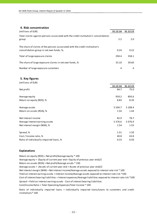## **4. Risk concentration**

| (millions of EUR)                                                                                                       | 31.12.16 | 31.12.15 |
|-------------------------------------------------------------------------------------------------------------------------|----------|----------|
| Total claims against persons associated with the credit institution's consolidation<br>group                            | 2.2      | 2.0      |
| The share of claims of the persons associated with the credit institution's<br>consolidation group in net own funds, %, | 0.24     | 0.22     |
| Total of large exposure claims                                                                                          | 294.4    | 358.1    |
| The share of large exposure claims in net own funds, %                                                                  | 33.10    | 39.60    |
| Number of large exposure customers                                                                                      | 4        | 4        |

#### **5. Key figures**

| (millions of EUR)                       |             |            |
|-----------------------------------------|-------------|------------|
|                                         | 31.12.16    | 31.12.15   |
| Net profit                              | 84.7        | 75.0       |
| Average equity                          | 959.2       | 893.6      |
| Return on equity (ROE), %               | 8.83        | 8.39       |
| Average assets                          | 5 5 0 4 .7  | 5 208.4    |
| Return on assets (ROA), %               | 1.54        | 1.44       |
| Net interest income                     | 82.9        | 78.7       |
| Average interest earning assets         | 5 3 7 6 . 6 | 5 0 7 6 .9 |
| Net interest margin (NIM), %            | 1.54        | 1.55       |
| Spread, %                               | 1.51        | 1.50       |
| Cost / Income ratio, %                  | 40.8        | 43.8       |
| Ratio of individually impaired loans, % | 0.33        | 0.50       |

#### **Explanations**

Return on equity (ROE) = Net profit/Average equity \* 100 Average equity = (Equity of current year end + Equity of previous year end)/2 Return on assets (ROA) = Net profit/Average assets \* 100 Average assets = (Assets of current year end + Assets of previous year end)/2 Net interest margin (NIM) = Net interest income/Average assets exposed to interest rate risk \* 100 Yield on interest earning assets = Interest income/Average assets exposed to interest rate risk \*100 Cost of interest bearing liabilities = Interest expenses/Average liabilities exposed to interest rate risk \*100 Spread = Yield on interest earning assets ‐ Cost of interest bearing liabilities Cost/Income Ratio = Total Operating Expenses/Total Income \* 100

Ratio of individually impaired loans = Individually impaired loans/Loans to customers and credit institutions\* 100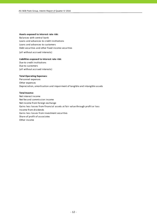#### **Assets exposed to interest rate risk:**

Balances with central bank Loans and advances to credit institutions Loans and advances to customers Debt securities and other fixed income securities

(all without accrued interests)

#### **Liabilities exposed to interest rate risk:**

Due to credit institutions Due to customers (all without accrued interests)

#### **Total Operating Expenses:**

Personnel expenses Other expenses Depreciation, amortisation and impairment of tangible and intangible assets

#### **Total Income:**

Net interest income Net fee and commission income Net income from foreign exchange Gains less losses from financial assets at fair value through profit or loss Income from dividends Gains less losses from investment securities Share of profit of associates Other income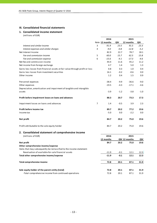## **III. Consolidated financial statements**

#### **1. Consolidated income statement**

(millions of EUR)

|                                                                              |                | 2016           |        | 2015          |        |
|------------------------------------------------------------------------------|----------------|----------------|--------|---------------|--------|
|                                                                              |                | Note 12 months | QIV    | 12 months     | QIV    |
| Interest and similar income                                                  | 3              | 91.9           | 23.5   | 91.5          | 23.3   |
| Interest expenses and similar charges                                        | $\overline{4}$ | $-9.0$         | $-0.8$ | $-12.8$       | $-5.2$ |
| Net Interest Income                                                          |                | 82.9           | 22.7   | 78.7          | 18.1   |
| Fee and commission income                                                    | 5              | 60.0           | 15.7   | 62.5          | 15.8   |
| Fee and commission expense                                                   | 6              | $-15.6$        | $-4.1$ | $-17.3$       | $-4.6$ |
| Net fee and commission income                                                |                | 44.4           | 11.6   | 45.2          | 11.2   |
| Net income from foreign exchange                                             |                | 4.7            | 1.4    | 5.0           | 1.3    |
| Gains less losses from financial assets at fair value through profit or loss |                | 0.8            | 0.3    | 1.0           | 0.4    |
| Gains less losses from investment securities                                 |                | 16.1           | $-0.2$ | $-0.6$        | 0.0    |
| Other income                                                                 |                | 1.2            | 0.4    | 1.5           | 0.9    |
| Personnel expenses                                                           |                | $-38.4$        | $-9.9$ | $-36.6$       | $-9.0$ |
| Other expenses                                                               |                | $-19.5$        | $-4.3$ | $-17.1$       | $-4.6$ |
| Depreciation, amortisation and impairment of tangible and intangible         |                |                |        |               |        |
| assets                                                                       |                | $-3.9$         | $-1.2$ | $-3.8$        | $-1.0$ |
| Profit before impairment losses on loans and advances                        |                | 88.3           | 20.7   | 73.3          | 17.3   |
| Impairment losses on loans and advances                                      | $\overline{7}$ | 1.4            | $-0.5$ | 3.9           | 2.3    |
| Profit before income tax                                                     |                | 89.7           | 20.2   | 77.2          | 19.6   |
| Income tax                                                                   |                | $-5.0$         | 0.0    | $-2.2$        | 0.0    |
| Net profit                                                                   |                | 84.7           | 20.2   | 75.0          | 19.6   |
| Profit attributable to the sole equity holder                                |                | 84.7           | 20.2   | 75.0          | 19.6   |
| 2. Consolidated statement of comprehensive income                            |                |                |        |               |        |
| (millions of EUR)                                                            |                | 2016           |        | 2015          |        |
|                                                                              |                | 12 months      |        | QIV 12 months | QIV    |
| Net profit                                                                   |                | 84.7           | 20.2   | 75.0          | 19.6   |
| Other comprehensive income/expense                                           |                |                |        |               |        |
| Items that may subsequently be reclassified to the income statement:         |                |                |        |               |        |
| Revaluation of available-for-sale financial assets                           |                | $-11.9$        | $-0.1$ | 12.1          | 12.3   |
| Total other comprehensive income/expense                                     |                | $-11.9$        | $-0.1$ | 12.1          | 12.3   |
| <b>Total comprehensive income</b>                                            |                | 72.8           | 20.1   | 87.1          | 31.9   |
| Sole equity holder of the parent entity (total)                              |                | 72.8           | 20.1   | 87.1          | 31.9   |
| -Total comprehensive income from continued operations                        |                | 72.8           | 20.1   | 87.1          | 31.9   |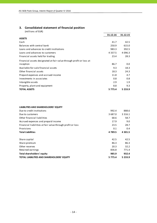## **3. Consolidated statement of financial position**

(millions of EUR)

|                                                                     | 31.12.16    | 31.12.15    |
|---------------------------------------------------------------------|-------------|-------------|
| <b>ASSETS</b>                                                       |             |             |
| Cash                                                                | 41.7        | 42.5        |
| Balances with central bank                                          | 250.9       | 615.0       |
| Loans and advances to credit institutions                           | 983.3       | 392.5       |
| Loans and advances to customers                                     | 4 3 3 7 .5  | 4 0 9 6 .3  |
| Financial assets held for trading                                   | 23.4        | 28.3        |
| Financial assets designated at fair value through profit or loss at |             |             |
| inception                                                           | 86.7        | 0.0         |
| Available-for-sale financial assets                                 | 9.3         | 18.3        |
| Other financial assets                                              | 18.3        | 24.3        |
| Prepaid expenses and accrued income                                 | 11.8        | 4.7         |
| Investments in associates                                           | 0.8         | 0.8         |
| Intangible assets                                                   | 2.9         | 1.9         |
| Property, plant and equipment                                       | 8.8         | 9.3         |
| <b>TOTAL ASSETS</b>                                                 | 5 7 7 5 . 4 | 5 2 3 3 . 9 |

#### **LIABILITIES AND SHAREHOLDERS' EQUITY**

| Due to credit institutions                                 | 992.4     | 888.6       |
|------------------------------------------------------------|-----------|-------------|
| Due to customers                                           | 3 687.0   | 3 3 1 6 . 1 |
| Other financial liabilities                                | 68.6      | 58.7        |
| Accrued expences and prepaid income                        | 17.9      | 9.0         |
| Financial liabilities at fair value through profit or loss | 23.5      | 28.7        |
| Provisions                                                 | 0.1       | 0.4         |
| <b>Total Liabilities</b>                                   | 4789.5    | 4 3 0 1 .5  |
| Share capital                                              | 42.5      | 42.5        |
| Share premium                                              | 86.3      | 86.3        |
| Other reserves                                             | 20.3      | 32.2        |
| Retained earnings                                          | 836.8     | 771.4       |
| Total shareholders' equity                                 | 985.9     | 932.4       |
| <b>TOTAL LIABILITIES AND SHAREHOLDERS' EQUITY</b>          | 5 7 7 5.4 | 5 2 3 3 .9  |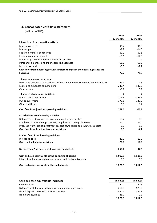## **4. Consolidated cash flow statement**

(millions of EUR)

|                                                                                 | 2016      | 2015      |
|---------------------------------------------------------------------------------|-----------|-----------|
|                                                                                 | 12 months | 12 months |
| I. Cash flows from operating activities                                         |           |           |
| Interest received                                                               | 91.2      | 91.9      |
| Interest paid                                                                   | $-8.9$    | $-14.0$   |
| Fee and commission received                                                     | 60.0      | 62.5      |
| Fee and commission paid                                                         | $-15.6$   | $-17.3$   |
| Net trading income and other operating income                                   | 7.2       | 7.4       |
| Personnel expenses and other operating expenses                                 | $-56.7$   | $-53.0$   |
| Income tax paid                                                                 | $-5.0$    | $-2.2$    |
| Cash flows from operating activities before changes in the operating assets and |           |           |
| <b>liabilities</b>                                                              | 72.2      | 75.3      |
| Changes in operating assets:                                                    |           |           |
| Loans and advances to credit institutions and mandatory reserve in central bank | $-49.4$   | $-1.5$    |
| Loans and advances to customers                                                 | $-240.4$  | $-130.0$  |
| Other assets                                                                    | $-0.7$    | 3.7       |
| <b>Changes of operating liabilities:</b>                                        | $\Omega$  | $\Omega$  |
| Due to credit institutions                                                      | 116.3     | $-156.9$  |
| Due to customers                                                                | 370.6     | 127.9     |
| Other liabilities                                                               | $1.0\,$   | 3.7       |
| Cash flow from (used in) operating activities                                   | 269.6     | $-77.8$   |
| II. Cash flows from investing activities                                        |           |           |
| Net increase-/decrease+ of investment portfolio securities                      | 13.2      | $-0.9$    |
| Purchase of investment properties, tangible and intangible assets               | $-4.4$    | $-5.0$    |
| Proceeds from sale of investment properties, tangible and intangible assets     | 0.0       | 1.2       |
| Cash flow from (used in) investing activities                                   | 8.8       | $-4.7$    |
| III. Cash flows from financing activities                                       |           |           |
| Dividends paid                                                                  | $-20.0$   | $-10.0$   |
| Cash used in financing activities                                               | $-20.0$   | $-10.0$   |
| Net decrease/increase in cash and cash equivalents                              | 258.4     | $-92.5$   |
| Cash and cash equivalents at the beginning of period                            | 1012.5    | 1 105.0   |
| Effect of exchange rate changes on cash and cash equivalents                    | 0.0       | 0.0       |
| Cash and cash equivalents at the end of period                                  | 1 270.9   | 1012.5    |

| 31.12.16   | 31.12.15 |
|------------|----------|
| 41.7       | 42.5     |
| 210.0      | 578.0    |
| 932.5      | 391.9    |
| 86.7       | 0.1      |
| 1 2 7 0 .9 | 1012.5   |
|            |          |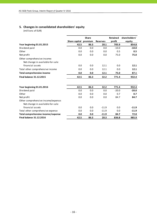# **5. Changes in consolidated shareholders' equity**

(millions of EUR)

|                                                                         |                       | <b>Share</b> |                 | <b>Retained</b> | shareholders' |
|-------------------------------------------------------------------------|-----------------------|--------------|-----------------|-----------------|---------------|
|                                                                         | Share capital premium |              | <b>Reserves</b> | profit          | equity        |
| Year beginning 01.01.2015                                               | 42.5                  | 86.3         | 20.1            | 705.9           | 854.8         |
| Dividend paid                                                           | 0.0                   | 0.0          | 0.0             | $-10.0$         | $-10.0$       |
| Other                                                                   | 0.0                   | 0.0          | 0.0             | 0.5             | 0.5           |
| Net profit                                                              | 0.0                   | 0.0          | 0.0             | 75.0            | 75.0          |
| Other comprehensive income:<br>Net change in available-for-sale         |                       |              |                 |                 |               |
| financial assets                                                        | 0.0                   | 0.0          | 12.1            | 0.0             | 12.1          |
| Total other comprehensive income                                        | 0.0                   | 0.0          | 12.1            | 0.0             | 12.1          |
| <b>Total comprehensive income</b>                                       | 0.0                   | 0.0          | 12.1            | 75.0            | 87.1          |
| <b>Final balance 31.12.2015</b>                                         | 42.5                  | 86.3         | 32.2            | 771.4           | 932.4         |
| Year beginning 01.01.2016                                               | 42.5                  | 86.3         | 32.2            | 771.4           | 932.4         |
| Dividend paid                                                           | 0.0                   | 0.0          | 0.0             | $-20.0$         | $-20.0$       |
| Other                                                                   | 0.0                   | 0.0          | 0.0             | 0.7             | 0.7           |
| Net profit                                                              | 0.0                   | 0.0          | 0.0             | 84.7            | 84.7          |
| Other comprehensive income/expense:<br>Net change in available-for-sale |                       |              |                 |                 |               |
| financial assets                                                        | 0.0                   | 0.0          | $-11.9$         | 0.0             | $-11.9$       |
| Total other comprehensive expense                                       | 0.0                   | 0.0          | $-11.9$         | 0.0             | $-11.9$       |
| Total comprehensive income/expense                                      | 0.0                   | 0.0          | $-11.9$         | 84.7            | 72.8          |
| <b>Final balance 31.12.2016</b>                                         | 42.5                  | 86.3         | 20.3            | 836.8           | 985.9         |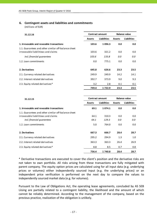## **6. Contingent assets and liabilities and commitments**

(millions of EUR)

| 31.12.16                                                                                   | <b>Contract amount</b> |                    | <b>Balance value</b> |                    |  |
|--------------------------------------------------------------------------------------------|------------------------|--------------------|----------------------|--------------------|--|
|                                                                                            | <b>Assets</b>          | <b>Liabilities</b> | <b>Assets</b>        | <b>Liabilities</b> |  |
| 1. Irrevocable and revocable transactions                                                  | 103.6                  | 1096.3             | 0.0                  | 0.0                |  |
| 1.1. Guarantees and other similar off-balance sheet<br>irrovocable liabilitieas and claims | 103.6                  | 321.2              | 0.0                  | 0.0                |  |
| incl. financial quarantees                                                                 | 103.6                  | 133.8              | 0.0                  | 0.0                |  |
| 1.2. Loan commitments                                                                      | 0.0                    | 775.1              | 0.0                  | 0.0                |  |
| 2. Derivatives                                                                             | 645.8                  | 626.6              | 23.3                 | 23.5               |  |
| 2.1. Currency related derivatives                                                          | 249.9                  | 249.9              | 14.2                 | 14.1               |  |
| 2.2. Interest related derivatives                                                          | 392.7                  | 373.9              | 9.0                  | 9.3                |  |
| 2.3. Equity related derivatives*                                                           | 3.2                    | 2.8                | 0.1                  | 0.1                |  |
|                                                                                            | 749.4                  | 1 7 2 2 . 9        | 23.3                 | 23.5               |  |

| 31.12.15                                            |               | <b>Contract amount</b> | <b>Balance value</b> |                    |  |
|-----------------------------------------------------|---------------|------------------------|----------------------|--------------------|--|
|                                                     | <b>Assets</b> | <b>Liabilities</b>     | <b>Assets</b>        | <b>Liabilities</b> |  |
| 1. Irrevocable and revocable transactions           | 69.1          | 1074.1                 | 0.0                  | 0.0                |  |
| 1.1. Guarantees and other similar off-balance sheet |               |                        |                      |                    |  |
| irrovocable liabilitieas and claims                 | 64.1          | 310.3                  | 0.0                  | 0.0                |  |
| incl. financial quarantees                          | 64.1          | 129.3                  | 0.0                  | 0.0                |  |
| 1.2. Loan commitments                               | 5.0           | 764.0                  | 0.0                  | 0.0                |  |
| 2. Derivatives                                      | 667.3         | 666.7                  | 28.4                 | 28.7               |  |
| 2.1. Currency related derivatives                   | 295.2         | 294.9                  | 1.3                  | 1.0                |  |
| 2.2. Interest related derivatives                   | 363.3         | 363.3                  | 26.4                 | 26.9               |  |
| 2.3. Equity related derivatives*                    | 8.8           | 8.5                    | 0.7                  | 0.8                |  |
|                                                     | 736.4         | 1740.8                 | 28.4                 | 28.7               |  |

\* Derivative transactions are executed to cover the client's position and the derivative risks are not taken to own portfolio. All risks arising from these transactions are fully mitigated with parent company. The equity option prices are calculated using for all input data (e.g. underlying prices or volumes) either independently sourced input (e.g. the underlying prices) or an independent price verification is performed on the next day to compare the values to independently sourced market data (e.g. for volumes).

Pursuant to the Law of Obligations Act, the operating lease agreements, concluded by AS SEB Liising are partially related to a contingent liability, the likelihood and the amount of which cannot be reliably determined. According to the management of the company, based on the previous practice, realization of the obligation is unlikely.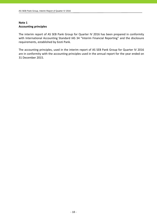# **Note 1 Accounting principles**

The interim report of AS SEB Pank Group for Quarter IV 2016 has been prepared in conformity with International Accounting Standard IAS 34 "Interim Financial Reporting" and the disclosure requirements, established by Eesti Pank.

The accounting principles, used in the interim report of AS SEB Pank Group for Quarter IV 2016 are in conformity with the accounting principles used in the annual report for the year ended on 31 December 2015.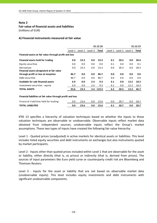# **Fair value of financial assets and liabilities**

(millions of EUR)

## **A) Financial instruments measured at fair value**

|                                                             |         |         |         | 31.12.16 |         |         |         | 31.12.15 |
|-------------------------------------------------------------|---------|---------|---------|----------|---------|---------|---------|----------|
|                                                             | Level 1 | Level 2 | Level 3 | Total    | Level 1 | Level 2 | Level 3 | Total    |
| Financial assets at fair value through profit and loss      |         |         |         |          |         |         |         |          |
| Financial assets held for trading                           | 0.0     | 23.3    | 0.0     | 23.3     | 0.1     | 28.3    | 0.0     | 28.4     |
| Equity securities                                           | 0.0     | 0.0     | 0.0     | 0.0      | 0.1     | 0.0     | 0.0     | 0.1      |
| Derivatives<br>Financial assets designated at fair value    | 0.0     | 23.3    | 0.0     | 23.3     | 0.0     | 28.3    | 0.0     | 28.3     |
| through profit or loss at inception                         | 86.7    | 0.0     | 0.0     | 86.7     | 0.0     | 0.0     | 0.0     | 0.0      |
| Debt securities                                             | 86.7    | 0.0     | 0.0     | 86.7     | 0.0     | 0.0     | 0.0     | 0.0      |
| Available for sale financial assets                         | 6.9     | 0.0     | 2.4     | 9.3      | 6.1     | 0.0     | 12.2    | 18.3     |
| Investment securities - equity                              | 6.9     | 0.0     | 2.4     | 9.3      | 6.1     | 0.0     | 12.2    | 18.3     |
| <b>TOTAL ASSETS</b>                                         | 93.6    | 23.3    | 2.4     | 119.3    | 6.2     | 28.3    | 12.2    | 46.7     |
| Financial liabilities at fair value through profit and loss |         |         |         |          |         |         |         |          |
| Financial liabilities held for trading                      | 0.0     | 23.6    | 0.0     | 23.6     | 0.0     | 28.7    | 0.0     | 28.7     |
| <b>TOTAL LIABILITIES</b>                                    | 0.0     | 23.6    | 0.0     | 23.6     | 0.1     | 28.7    | 0.0     | 28.7     |

IFRS 13 specifies a hierarchy of valuation techniques based on whether the inputs to those valuation techniques are observable or unobservable. Observable inputs reflect market data obtained from independent sources; unobservable inputs reflect the Group's market assumptions. These two types of inputs have created the following fair value hierarchy:

Level 1 ‐ Quoted prices (unadjusted) in active markets for identical assets or liabilities. This level includes listed equity securities and debt instruments on exchanges but also instruments quoted by market participants.

Level 2 - Inputs other than quoted prices included within Level 1 that are observable for the asset or liability, either directly (that is, as prices) or indirectly (that is, derived from prices). The sources of input parameters like Euro yield curve or counterparty credit risk are Bloomberg and Thomson Reuters.

Level 3 - Inputs for the asset or liability that are not based on observable market data (unobservable inputs). This level includes equity investments and debt instruments with significant unobservable components.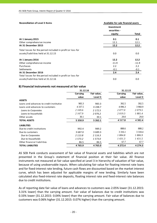| <b>Reconciliation of Level 3 Items</b>                     | Available-for-sale financial assets  |         |  |
|------------------------------------------------------------|--------------------------------------|---------|--|
|                                                            | Investment<br>securities -<br>equity | Total   |  |
| At 1 January 2015                                          | 0.1                                  | 0.1     |  |
| Other comprehensive income                                 | 12.1                                 | 12.1    |  |
| At 31 December 2015                                        | 12.2                                 | 12.2    |  |
| Total losses for the period included in profit or loss for |                                      |         |  |
| assets/liabilities held at 31.12.15                        | 0.0                                  | 0.0     |  |
| At 1 January 2016                                          | 12.2                                 | 12.2    |  |
| Other comprehensive income                                 | $-11.9$                              | $-11.9$ |  |
| Purchases                                                  | 2.2                                  | 2.2     |  |
| <b>Settlements</b>                                         | $-0.1$                               | $-0.1$  |  |
| At 31 December 2016                                        | 2.4                                  | 2.4     |  |
| Total losses for the period included in profit or loss for |                                      |         |  |
| assets/liabilities held at 31.12.16                        | 0.0                                  | 0.0     |  |

## **B) Financial instruments not measured at fair value**

|                                          | 31.12.16   |             | 31.12.15    |             |  |
|------------------------------------------|------------|-------------|-------------|-------------|--|
|                                          | Carrying   | Fair value, | Carrying    | Fair value, |  |
|                                          | value      | Level 3     | value       | Level 3     |  |
| <b>ASSETS</b>                            |            |             |             |             |  |
| Loans and advances to credit institution | 983.3      | 983.3       | 392.5       | 392.5       |  |
| Loans and advances to customers          | 4 3 3 7 .5 | 4 2 4 8 .7  | 4 0 9 6.3   | 3 960.9     |  |
| Loans to Corporates                      | 2 169.6    | 2 1 7 2 .5  | 2077.0      | 2079.5      |  |
| Loans to households                      | 2 167.9    | 2076.2      | 2019.3      | 1881.4      |  |
| Other assets                             | 30.1       | 30.1        | 29.0        | 29.0        |  |
| <b>TOTAL ASSETS</b>                      | 5 3 5 0.9  | 5 2 6 2 . 1 | 4 5 1 7 .8  | 4 3 8 2.4   |  |
| <b>LIABILITIES</b>                       |            |             |             |             |  |
| Due to credit institutions               | 992.4      | 989.2       | 888.6       | 888.2       |  |
| Due to customers                         | 3 687.0    | 3 689.3     | 3 3 1 6 .1  | 3 3 1 8 .4  |  |
| Due to Corporates                        | 2 1 1 3 .8 | 2 1 1 6 . 3 | 1884.8      | 1886.9      |  |
| Due to households                        | 1 573.2    | 1573.0      | 1431.3      | 1431.5      |  |
| Other financial liabilities              | 86.5       | 86.5        | 67.7        | 67.7        |  |
| <b>TOTAL LIABILITIES</b>                 | 4765.9     | 4 7 6 5 .0  | 4 2 7 2 . 4 | 4 2 7 4 . 3 |  |

AS SEB Pank conducts assessment of fair value of financial assets and liabilities which are not presented in the Group's statement of financial position at their fair value. All finance instruments not measured at fair value specified at Level 3 in hierarchy of valuation of fair value, because of using unobservable inputs. When calculating fair value for floating interest rate loans and for fixed-interest rate lending, future cash flows are discounted based on the market interest curve, which has been adjusted for applicable margins of new lending. Similarly have been calculated also fixed‐interest rate deposits, floating interest rate and fixed‐interest rate balances due to credit institutions.

As of reporting date fair value of loans and advances to customers was 2.05% lower (31.12.2015: 3.31% lower) than the carrying amount. Fair value of balances due to credit institutions was 0.33% lower (31.12.2015: 0.04% lower) than the carrying amount. Fair value of balances due to customers was 0.06% higher (31.12.2015: 0.07% higher) than the carrying amount.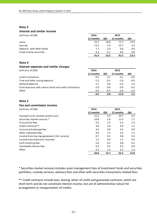## **Interest and similar income**

| (millions of EUR)         | 2016      |      | 2015      |      |
|---------------------------|-----------|------|-----------|------|
|                           | 12 months | QIV  | 12 months | QIV  |
| Loans                     | 76.7      | 18.0 | 77.2      | 19.9 |
| Leasing                   | 13.3      | 3.4  | 13.7      | 3.4  |
| Deposits with other banks | 1.7       | 2.0  | 0.0       | 0.0  |
| Fixed income securities   | 0.2       | 0.1  | 0.6       | 0.0  |
|                           | 91.9      | 23.5 | 91.5      | 23.3 |

## **Note 4**

| Interest expenses and similar charges                   |           |        |           |        |
|---------------------------------------------------------|-----------|--------|-----------|--------|
| (millions of EUR)                                       | 2016      |        | 2015      |        |
|                                                         | 12 months | QIV    | 12 months | QIV    |
| Credit institutions                                     | $-0.5$    | 0.1    | $-4.1$    | $-0.6$ |
| Time and other saving deposits                          | $-1.3$    | $-0.2$ | $-1.9$    | $-0.4$ |
| Demand deposits                                         | $-1.7$    | 0.8    | $-3.3$    | $-1.4$ |
| From balances with central bank and credit institutions | $-2.9$    | $-0.8$ | $-0.9$    | $-0.3$ |
| Other                                                   | $-2.6$    | $-0.7$ | $-2.6$    | $-2.5$ |
|                                                         | $-9.0$    | $-0.8$ | $-12.8$   | $-5.2$ |
|                                                         |           |        |           |        |

## **Note 5**

#### **Fee and commission income**

(millions of EUR) **2016 2015**

|                                               | 12 months | QIV  | 12 months | QIV  |
|-----------------------------------------------|-----------|------|-----------|------|
| Payment cards related commissions             | 22.2      | 5.9  | 24.7      | 6.3  |
| Securities market services *                  | 10.8      | 2.6  | 11.0      | 2.7  |
| <b>Transaction fees</b>                       | 5.0       | 1.3  | 5.4       | 1.4  |
| Credit contracts**                            | 4.0       | 1.0  | 4.9       | 1.1  |
| Insurance brokerage fees                      | 3.6       | 0.9  | 3.2       | 0.9  |
| Other settlement fees                         | 6.0       | 1.5  | 4.5       | 1.3  |
| Income from leasing agreements (full service) | 0.7       | 0.2  | 0.8       | 0.2  |
| Income from electronic channels               | 1.5       | 0.4  | 1.5       | 0.4  |
| Cash handling fees                            | 0.6       | 0.2  | 0.8       | 0.2  |
| Commodity futures fees                        | 0.3       | 0.2  | 0.4       | 0.0  |
| Other                                         | 5.3       | 1.5  | 5.3       | 1.3  |
|                                               | 60.0      | 15.7 | 62.5      | 15.8 |

\* Securities market services includes asset management fees of investment funds and securities portfolios, custody services, advisory fees and other with securities transactions related fees.

\*\* Credit contracts include loan, leasing, letter of credit and guarantee contracts, which are short-term and do not constitute interest income, but are of administrative nature for arrangement or reorganisation of credits.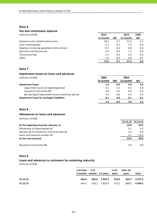## **Fee and commission expense**

(millions of EUR) **2016 2015 1900**

| , <i>.</i>                                    |           |        |           |        |
|-----------------------------------------------|-----------|--------|-----------|--------|
|                                               | 12 months | QIV    | 12 months | QIV    |
| Payment cards related commissions             | $-10.1$   | $-2.7$ | $-11.4$   | $-3.1$ |
| Cash collecting fees                          | $-1.1$    | $-0.2$ | $-1.3$    | $-0.3$ |
| Expenses to leasing agreements (full service) | $-0.7$    | $-0.2$ | $-0.8$    | $-0.3$ |
| Securities market services                    | $-1.6$    | $-0.4$ | $-1.7$    | $-0.4$ |
| <b>Transaction fees</b>                       | $-1.1$    | $-0.3$ | $-1.2$    | $-0.3$ |
| Other                                         | $-1.0$    | $-0.3$ | $-0.9$    | $-0.2$ |
|                                               | $-15.6$   | -4.1   | $-17.3$   | -4.6   |

## **Note 7**

## **Impairment losses on loans and advances**

(millions of EUR) **2016 2015**

|                                                    | <b>12 month:</b> | ΟΙV    | 12 months | OIV    |
|----------------------------------------------------|------------------|--------|-----------|--------|
| Impairment losses                                  | 1.3              | $-0.5$ | 4.0       | 2.4    |
| impairment losses of reporting period              | $-3.1$           | $-1.6$ | $-3.3$    | $-1.8$ |
| recoveries from write-offs                         | 2.0              | 0.5    | 0.9       | 0.2    |
| decreasing of impairment losses of previous period | 2.4              | 0.6    | 6.4       | 3.9    |
| Impairment losses for contingent liabilities       | 0.1              | 0.0    | $-0.1$    | $-0.1$ |
|                                                    | 1.4              | -0.5   | 3.9       | 2.3    |

## **Note 8**

## **Allowances on loans and advances**

(millions of EUR)

|                                             | 31.12.16 | 31.12.15 |
|---------------------------------------------|----------|----------|
| At the beginning of period (January, 1)     | 29.0     | 44.4     |
| Allowances of reporting period              | 3.1      | 3.3      |
| Decreasing of allowances of previous period | $-2.4$   | $-6.4$   |
| Loans and advances written off              | $-5.1$   | $-12.3$  |
| At the end of period                        | 24.6     | 29.0     |
| Recoveries from write-offs                  | 2.0      | 0.9      |

## **Note 9**

#### **Loans and advances to customers by remaining maturity**

(millions of EUR)

|          | Less than $3-12$<br>3 months months 1-5 years |              | 5-10<br>vears | Over 10<br>vears | Total            |
|----------|-----------------------------------------------|--------------|---------------|------------------|------------------|
| 31.12.16 | 244.4                                         | 685.6 1939.2 | 524.6         |                  | 943.7 4 3 3 7 .5 |
| 31.12.15 | 244.1                                         | 635.1 1835.4 | 513.2         |                  | 868.5 4 096.3    |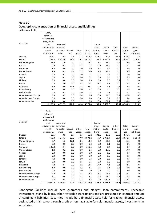#### **Geographic concentration of financial assets and liabilities**

(millions of EUR)

|                           | Cash,          |                |              |                |            |            |                |                    |                |                     |
|---------------------------|----------------|----------------|--------------|----------------|------------|------------|----------------|--------------------|----------------|---------------------|
|                           | balances       |                |              |                |            |            |                |                    |                |                     |
|                           | with central   |                |              |                |            |            |                |                    |                |                     |
|                           | bank, loans    |                |              |                |            |            |                |                    |                |                     |
| 31.12.16                  | and            | Loans and      |              |                |            | Due to     |                |                    |                |                     |
|                           | advances to    | advances       |              |                |            | credit     | Due to         | Other              | Total          | Contin-             |
|                           | credit         | to custo-      | Securi-      | Other          | Total      | institu-   | custo-         | liabili-           | liabili-       | gent                |
|                           | institutions   | mers           | ties         | assets         | assets     | tions      | mers           | ties               | ties           | liabilities         |
| Sweden                    | 912.1          | 0.8            | 1.5          | 1.1            | 915.5      | 918.1      | 11.9           | 23.2               | 953.2          | 1.5                 |
| Estonia                   | 292.8          | 4 3 1 4 .6     | 29.6         | 34.7           | 4671.7     | 47.3       | 3 3 5 7 . 5    | 85.4               | 3 490.2        | 1 0 6 0.7           |
| United Kingdom            | 32.5           | 2.0            | 0.0          | 0.2            | 34.7       | 1.2        | 18.0           | 0.4                | 19.6           | 0.0                 |
| Russia                    | 0.5            | 0.1            | 0.0          | 0.1            | 0.7        | 0.5        | 26.6           | 0.0                | 27.1           | 0.0                 |
| Germany                   | 1.0            | 0.6            | 0.0          | 0.0            | 1.6        | 3.1        | 3.5            | 0.0                | 6.6            | $5.0\,$             |
| <b>United States</b>      | 7.9            | 0.5            | 2.4          | 1.2            | 12.0       | 1.4        | 13.5           | 0.0                | 14.9           | 0.0                 |
| Canada                    | 0.0            | 0.1            | 0.0          | 0.0            | 0.1        | 0.1        | 0.9            | 0.0                | 1.0            | 0.0                 |
| Japan                     | 0.0            | 0.1            | 0.0          | 0.0            | 0.1        | 0.0        | 0.5            | 0.0                | 0.5            | 0.0                 |
| Finland                   | 0.0            | 3.8            | 0.0          | 0.0            | 3.8        | 0.0        | 7.0            | 0.1                | 7.1            | 3.6                 |
| Latvia                    | 0.4            | 8.0            | 0.0          | 2.8            | 11.2       | 19.1       | 3.7            | 0.0                | 22.8           | 0.5                 |
| Lithuania                 | 12.9           | 0.0            | 86.7         | 0.1            | 99.7       | 0.0        | 3.7            | 0.1                | 3.8            | 0.3                 |
| Luxembourg                | 1.7            | 0.0            | 0.0          | 0.0            | 1.7        | 0.8        | 0.0            | 0.0                | 0.8            | 0.0                 |
| Netherlands               | 0.0            | 0.2            | 0.0          | 0.0            | 0.2        | 0.0        | 0.7            | 0.0                | 0.7            | 14.3                |
| Other Western Europe      | 3.3            | 5.9            | 0.0          | 0.4            | 9.6        | 0.8        | 46.0           | 0.2                | 47.0           | 6.5                 |
| Other Eastern Europe      | 3.0            | 0.0            | 0.0          | 0.0            | 3.0        | 0.0        | 5.4            | 0.0                | 5.4            | 0.0                 |
| Other countries           | 7.8            | 0.8            | 0.0          | 1.2            | 9.8        | 0.0        | 188.1          | 0.7                | 188.8          | 3.9                 |
|                           | 1 275.9        | 4 3 3 7 .5     | 120.2        | 41.8           | 5 7 7 5.4  | 992.4      | 3 687.0        | 110.1              | 4789.5         | 1 096.3             |
|                           |                |                |              |                |            |            |                |                    |                |                     |
|                           | Cash,          |                |              |                |            |            |                |                    |                |                     |
|                           | balances       |                |              |                |            |            |                |                    |                |                     |
|                           | with central   |                |              |                |            |            |                |                    |                |                     |
|                           | bank, loans    |                |              |                |            |            |                |                    |                |                     |
| 31.12.15                  | and            | Loans and      |              |                |            | Due to     |                |                    |                |                     |
|                           | advances to    | advances       |              |                |            | credit     | Due to         | Other              | Total          | Contin-             |
|                           | credit         | to custo-      | Securi-      | Other          | Total      | institu-   | custo-         | liabili-           | liabili-       |                     |
|                           | institutions   |                |              |                | assets     | tions      |                | ties               | ties           | gent<br>liabilities |
| Sweden                    | 13.5           | mers<br>0.5    | ti es<br>1.7 | assets<br>0.5  | 16.2       | 791.1      | mers<br>17.2   | 27.8               | 836.1          | 1.5                 |
| Estonia                   | 658.3          | 4 0 7 4 .3     | 33.6         | 37.0           | 4 803.2    | 7.7        | 2975.4         | 68.4               | 3 0 5 1.5      | 1055.8              |
| United Kingdom            | 0.7            | 1.3            | 12.1         | 0.1            | 14.2       | 3.2        | 28.2           | 0.1                | 31.5           | 0.0                 |
| Russia                    | 0.2            | 0.0            | 0.0          | 0.0            | 0.2        | 0.0        | 0.1            | 0.0                | 0.1            | 0.0                 |
| Germany                   | 348.2          | 3.4            | 0.0          | 0.0            | 351.6      | 7.3        | 1.4            | 0.0                | 8.7            | 1.8                 |
| United States             | $1.4\,$        | 0.2            | 0.0          | $0.0\,$        | $1.6\,$    | $0.0\,$    | 17.0           | $0.0\,$            | $17.0\,$       | $0.0\,$             |
| Canada                    | 0.0            | 0.0            | 0.0          | 0.0            | 0.0        | 0.1        | 0.6            | 0.0                | 0.7            | 0.0                 |
| Japan                     | $0.0\,$        | 0.0            | 0.0          | 0.0            | 0.0        | 0.0        | 0.5            | 0.0                | 0.5            | $0.0\,$             |
|                           |                |                |              |                |            |            |                |                    |                |                     |
| Finland                   | 4.4            | 0.9            | 0.0          | 0.0            | 5.3        | 0.0        | 9.3            | 0.0                | 9.3            | $3.4$               |
| Latvia                    | 0.0            | 0.0            | 0.0          | 0.6            | 0.6        | 0.0        | 0.0            | 0.0                | 0.0            | 0.0                 |
| Lithuania                 |                |                |              |                |            |            |                |                    |                |                     |
|                           | 4.8            | 8.4            | 0.0          | 0.2            | 13.4       | 67.9       | 4.1            | 0.1                | 72.1           | 0.4                 |
| Luxembourg<br>Netherlands | $1.9\,$<br>0.0 | 0.0<br>$0.0\,$ | 0.0<br>0.0   | 0.2<br>$0.0\,$ | 2.1<br>0.0 | 0.6<br>0.0 | 0.1<br>$2.0\,$ | $0.2\,$<br>$0.0\,$ | 0.9<br>$2.0\,$ | 0.0<br>$0.0\,$      |

Contingent liabilities include here guarantees and pledges, loan commitments, revocable transactions, stand‐by loans, other revocable transactions and are presented in contract amount of contingent liabilities. Securities include here financial assets held for trading, financial assets designated at fair value through profit or loss, available‐for‐sale financial assets, investments in associates.

**1 050.0 4 096.3 47.4 40.2 5 233.9 888.6 3 316.1 96.8 4 301.5 1 074.1**

Other Western Europe 7.9 6.0 0.0 0.3 14.2 1.5 26.5 0.1 28.1 7.0 Other Eastern Europe 6.1 0.9 0.0 0.1 7.1 9.2 45.9 0.1 55.2 0.0 Other countries 2.6 0.4 0.0 1.2 4.2 0.0 187.8 0.0 187.8 4.2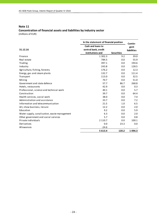# **Note 11 Concentration of financial assets and liabilities by industry sector**

(millions of EUR)

|                                              | In the statement of financial position | Contin-           |             |
|----------------------------------------------|----------------------------------------|-------------------|-------------|
|                                              | Cash and loans to                      |                   | gent        |
| 31.12.16                                     | central bank, credit                   |                   | liabilities |
|                                              | institutions and                       | <b>Securities</b> |             |
| Finance                                      | 1 3 0 2 . 3                            | 9.2               | 39.0        |
| Real estate                                  | 784.5                                  | 0.0               | 55.9        |
| Trading                                      | 397.1                                  | 0.0               | 194.6       |
| Industry                                     | 243.8                                  | 0.0               | 128.5       |
| Agriculture, fishing, forestry               | 176.2                                  | 0.0               | 12.3        |
| Energy, gas and steam plants                 | 132.7                                  | 0.0               | 111.4       |
| Transport                                    | 113.0                                  | 0.0               | 32.5        |
| Mining                                       | 70.7                                   | 0.0               | 51.0        |
| Government and state defence                 | 57.7                                   | 86.7              | 268.8       |
| Hotels, restaurants                          | 42.9                                   | 0.0               | 0.3         |
| Professional, science and technical work     | 40.1                                   | 0.0               | 5.7         |
| Construction                                 | 39.7                                   | 0.0               | 64.4        |
| Health services, social work                 | 38.0                                   | 0.0               | 7.4         |
| Administration and assistance                | 33.7                                   | 0.0               | 7.2         |
| Information and telecommunication            | 21.5                                   | 1.0               | 6.5         |
| Art, show business, leisure                  | 12.2                                   | 0.0               | 2.0         |
| Education                                    | 9.2                                    | 0.0               | 5.9         |
| Water supply, canalisation, waste management | 6.3                                    | 0.0               | 2.0         |
| Other government and social services         | 5.7                                    | 0.0               | 0.8         |
| Private individuals                          | 2 1 1 0 . 7                            | 0.0               | 100.1       |
| Derivatives                                  | 0.0                                    | 23.3              | 0.0         |
| Allowances                                   | $-24.6$                                |                   |             |
|                                              | 5 6 1 3.4                              | 120.2             | 1096.3      |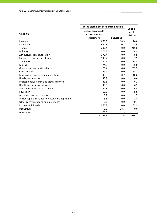|                                              | In the statement of financial position                | Contin-           |                     |
|----------------------------------------------|-------------------------------------------------------|-------------------|---------------------|
| 31.12.15                                     | central bank, credit<br>institutions and<br>customers | <b>Securities</b> | gent<br>liabilities |
| Finance                                      | 1 0 6 6.3                                             | 18.3              | 16.8                |
| Real estate                                  | 692.3                                                 | 0.1               | 27.6                |
| Trading                                      | 292.4                                                 | 0.0               | 215.6               |
| Industry                                     | 275.2                                                 | 0.0               | 144.9               |
| Agriculture, fishing, forestry               | 172.4                                                 | 0.0               | 8.9                 |
| Energy, gas and steam plants                 | 149.2                                                 | 0.0               | 107.9               |
| Transport                                    | 124.5                                                 | 0.0               | 33.3                |
| Mining                                       | 74.6                                                  | 0.0               | 65.0                |
| Government and state defence                 | 70.4                                                  | 0.0               | 262.5               |
| Construction                                 | 49.4                                                  | 0.0               | 68.7                |
| Information and telecommunication            | 48.9                                                  | 0.7               | 10.6                |
| Hotels, restaurants                          | 43.9                                                  | 0.0               | 0.6                 |
| Professional, science and technical work     | 43.8                                                  | 0.0               | 6.2                 |
| Health services, social work                 | 43.3                                                  | 0.0               | 6.5                 |
| Administration and assistance                | 27.3                                                  | 0.0               | 6.5                 |
| Education                                    | 13.5                                                  | 0.0               | 5.8                 |
| Art, show business, leisure                  | 8.7                                                   | 0.0               | 1.7                 |
| Water supply, canalisation, waste management | 5.8                                                   | 0.0               | 1.4                 |
| Other government and social services         | 6.6                                                   | 0.0               | 0.7                 |
| Private individuals                          | 1966.8                                                | 0.0               | 82.9                |
| Derivatives                                  | 0.0                                                   | 28.3              | 0.0                 |
| Allowances                                   | $-29.0$                                               |                   |                     |
|                                              | 5 1 4 6 .3                                            | 47.4              | 1074.1              |